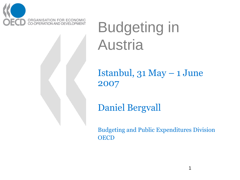

Budgeting in Austria

Istanbul, 31 May – 1 June 2007

Daniel Bergvall

Budgeting and Public Expenditures Division **OECD** 

1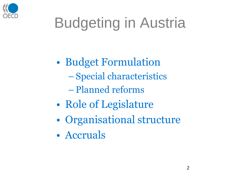

# Budgeting in Austria

- Budget Formulation
	- Special characteristics
	- Planned reforms
- Role of Legislature
- Organisational structure
- Accruals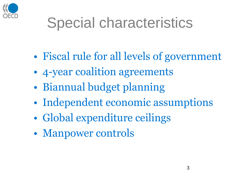

# Special characteristics

- Fiscal rule for all levels of government
- 4-year coalition agreements
- Biannual budget planning
- Independent economic assumptions
- Global expenditure ceilings
- Manpower controls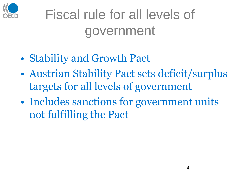

### Fiscal rule for all levels of government

- Stability and Growth Pact
- Austrian Stability Pact sets deficit/surplus targets for all levels of government
- Includes sanctions for government units not fulfilling the Pact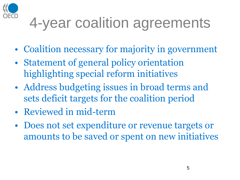

# 4-year coalition agreements

- Coalition necessary for majority in government
- Statement of general policy orientation highlighting special reform initiatives
- Address budgeting issues in broad terms and sets deficit targets for the coalition period
- Reviewed in mid-term
- Does not set expenditure or revenue targets or amounts to be saved or spent on new initiatives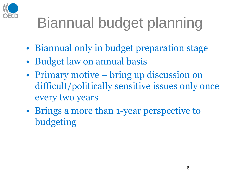

# Biannual budget planning

- Biannual only in budget preparation stage
- Budget law on annual basis
- Primary motive bring up discussion on difficult/politically sensitive issues only once every two years
- Brings a more than 1-year perspective to budgeting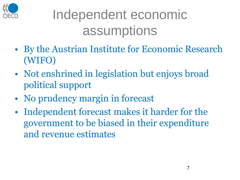

### Independent economic assumptions

- By the Austrian Institute for Economic Research (WIFO)
- Not enshrined in legislation but enjoys broad political support
- No prudency margin in forecast
- Independent forecast makes it harder for the government to be biased in their expenditure and revenue estimates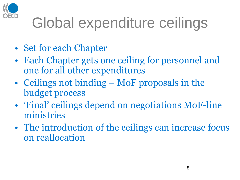

# Global expenditure ceilings

- Set for each Chapter
- Each Chapter gets one ceiling for personnel and one for all other expenditures
- Ceilings not binding MoF proposals in the budget process
- 'Final' ceilings depend on negotiations MoF-line ministries
- The introduction of the ceilings can increase focus on reallocation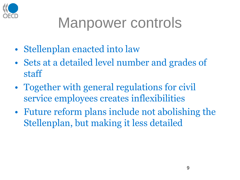

### Manpower controls

- Stellenplan enacted into law
- Sets at a detailed level number and grades of staff
- Together with general regulations for civil service employees creates inflexibilities
- Future reform plans include not abolishing the Stellenplan, but making it less detailed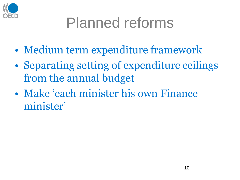

# Planned reforms

- Medium term expenditure framework
- Separating setting of expenditure ceilings from the annual budget
- Make 'each minister his own Finance minister'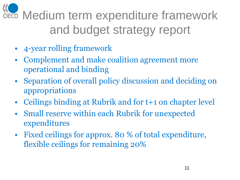**Nedium term expenditure framework** and budget strategy report

- 4-year rolling framework
- Complement and make coalition agreement more operational and binding
- Separation of overall policy discussion and deciding on appropriations
- Ceilings binding at Rubrik and for t+1 on chapter level
- Small reserve within each Rubrik for unexpected expenditures
- Fixed ceilings for approx. 80 % of total expenditure, flexible ceilings for remaining 20%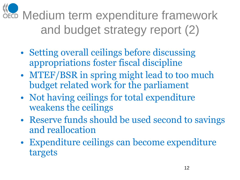**Nedium term expenditure framework** and budget strategy report (2)

- Setting overall ceilings before discussing appropriations foster fiscal discipline
- MTEF/BSR in spring might lead to too much budget related work for the parliament
- Not having ceilings for total expenditure weakens the ceilings
- Reserve funds should be used second to savings and reallocation
- Expenditure ceilings can become expenditure targets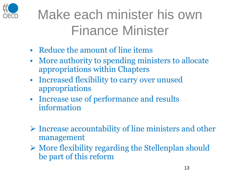

#### Make each minister his own Finance Minister

- Reduce the amount of line items
- More authority to spending ministers to allocate appropriations within Chapters
- Increased flexibility to carry over unused appropriations
- Increase use of performance and results information
- $\triangleright$  Increase accountability of line ministers and other management
- $\triangleright$  More flexibility regarding the Stellenplan should be part of this reform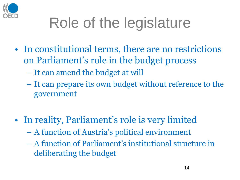

# Role of the legislature

- In constitutional terms, there are no restrictions on Parliament's role in the budget process
	- It can amend the budget at will
	- It can prepare its own budget without reference to the government
- In reality, Parliament's role is very limited
	- A function of Austria's political environment
	- A function of Parliament's institutional structure in deliberating the budget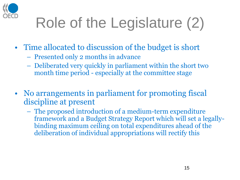

# Role of the Legislature (2)

- Time allocated to discussion of the budget is short
	- Presented only 2 months in advance
	- Deliberated very quickly in parliament within the short two month time period - especially at the committee stage
- No arrangements in parliament for promoting fiscal discipline at present
	- The proposed introduction of a medium-term expenditure framework and a Budget Strategy Report which will set a legallybinding maximum ceiling on total expenditures ahead of the deliberation of individual appropriations will rectify this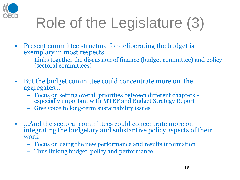

# Role of the Legislature (3)

- Present committee structure for deliberating the budget is exemplary in most respects
	- Links together the discussion of finance (budget committee) and policy (sectoral committees)
- But the budget committee could concentrate more on the aggregates…
	- Focus on setting overall priorities between different chapters especially important with MTEF and Budget Strategy Report
	- Give voice to long-term sustainability issues
- …And the sectoral committees could concentrate more on integrating the budgetary and substantive policy aspects of their work
	- Focus on using the new performance and results information
	- Thus linking budget, policy and performance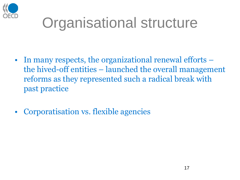

# Organisational structure

- In many respects, the organizational renewal efforts the hived-off entities – launched the overall management reforms as they represented such a radical break with past practice
- Corporatisation vs. flexible agencies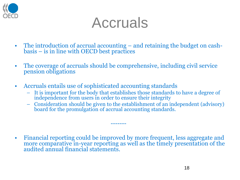

#### Accruals

- The introduction of accrual accounting and retaining the budget on cashbasis – is in line with OECD best practices
- The coverage of accruals should be comprehensive, including civil service pension obligations
- Accruals entails use of sophisticated accounting standards
	- It is important for the body that establishes those standards to have a degree of independence from users in order to ensure their integrity
	- Consideration should be given to the establishment of an independent (advisory) board for the promulgation of accrual accounting standards.

• Financial reporting could be improved by more frequent, less aggregate and more comparative in-year reporting as well as the timely presentation of the audited annual financial statements.

-------